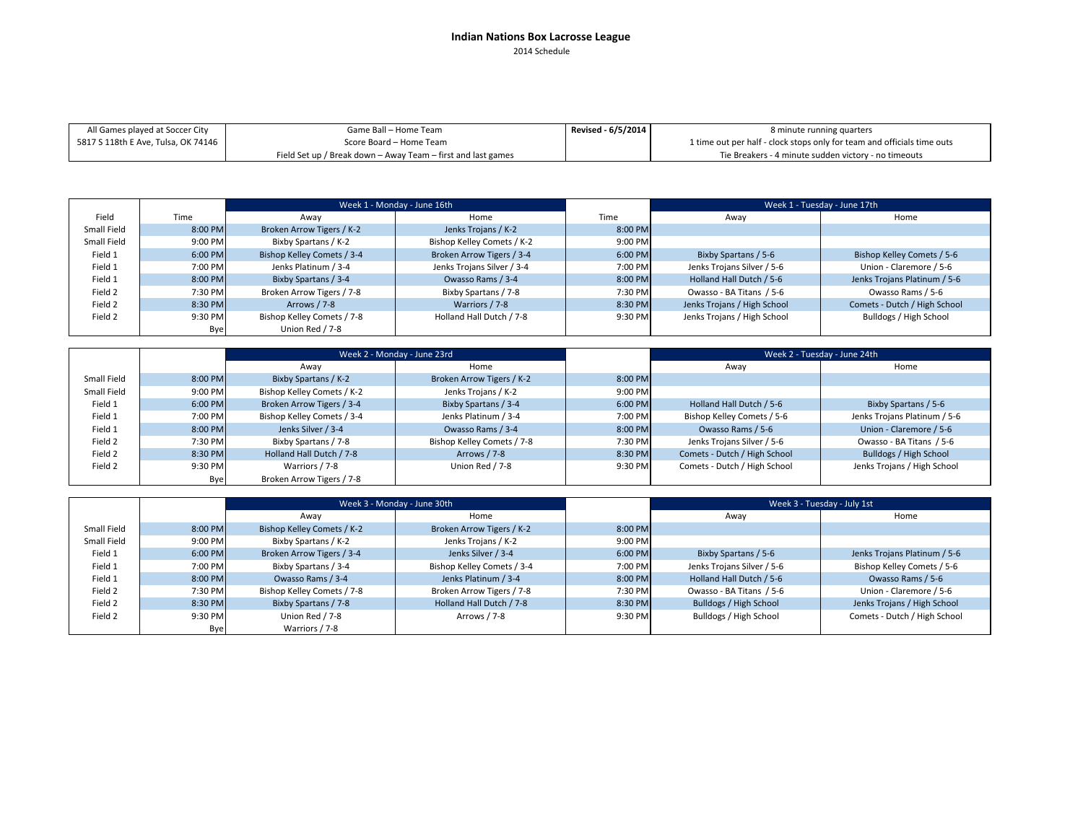## **Indian Nations Box Lacrosse League** 2014 Schedule

Tie Breakers ‐ 4 minute sudden victory ‐ no timeouts

**Revised ‐ 6/5/2014** Game Ball – Home TeamScore Board – Home TeamAll Games played at Soccer City 5817 S 118th E Ave, Tulsa, OK 74146 8 minute running quarters 1 time out per half ‐ clock stops only for team and officials time outs

Field Set up / Break down – Away Team – first and last games

|             |         | Week 1 - Monday - June 16th |                            |           | Week 1 - Tuesday - June 17th |                              |
|-------------|---------|-----------------------------|----------------------------|-----------|------------------------------|------------------------------|
| Field       | Time    | Awav                        | Home                       | Time      | Away                         | Home                         |
| Small Field | 8:00 PM | Broken Arrow Tigers / K-2   | Jenks Trojans / K-2        | $8:00$ PM |                              |                              |
| Small Field | 9:00 PM | Bixby Spartans / K-2        | Bishop Kelley Comets / K-2 | 9:00 PM   |                              |                              |
| Field 1     | 6:00 PM | Bishop Kelley Comets / 3-4  | Broken Arrow Tigers / 3-4  | 6:00 PM   | Bixby Spartans / 5-6         | Bishop Kelley Comets / 5-6   |
| Field 1     | 7:00 PM | Jenks Platinum / 3-4        | Jenks Trojans Silver / 3-4 | 7:00 PM   | Jenks Trojans Silver / 5-6   | Union - Claremore / 5-6      |
| Field 1     | 8:00 PM | Bixby Spartans / 3-4        | Owasso Rams / 3-4          | 8:00 PM   | Holland Hall Dutch / 5-6     | Jenks Trojans Platinum / 5-6 |
| Field 2     | 7:30 PM | Broken Arrow Tigers / 7-8   | Bixby Spartans / 7-8       | 7:30 PM   | Owasso - BA Titans / 5-6     | Owasso Rams / 5-6            |
| Field 2     | 8:30 PM | Arrows / 7-8                | Warriors / 7-8             | 8:30 PM   | Jenks Trojans / High School  | Comets - Dutch / High School |
| Field 2     | 9:30 PM | Bishop Kelley Comets / 7-8  | Holland Hall Dutch / 7-8   | 9:30 PM   | Jenks Trojans / High School  | Bulldogs / High School       |
|             | Bye     | Union Red / 7-8             |                            |           |                              |                              |

|             | Week 2 - Monday - June 23rd |                            |                            |         |                              | Week 2 - Tuesday - June 24th |
|-------------|-----------------------------|----------------------------|----------------------------|---------|------------------------------|------------------------------|
|             |                             | Away                       | Home                       |         | Away                         | Home                         |
| Small Field | 8:00 PM                     | Bixby Spartans / K-2       | Broken Arrow Tigers / K-2  | 8:00 PM |                              |                              |
| Small Field | 9:00 PM                     | Bishop Kelley Comets / K-2 | Jenks Trojans / K-2        | 9:00 PM |                              |                              |
| Field 1     | 6:00 PM                     | Broken Arrow Tigers / 3-4  | Bixby Spartans / 3-4       | 6:00 PM | Holland Hall Dutch / 5-6     | Bixby Spartans / 5-6         |
| Field 1     | 7:00 PM                     | Bishop Kelley Comets / 3-4 | Jenks Platinum / 3-4       | 7:00 PM | Bishop Kelley Comets / 5-6   | Jenks Trojans Platinum / 5-6 |
| Field 1     | 8:00 PM                     | Jenks Silver / 3-4         | Owasso Rams / 3-4          | 8:00 PM | Owasso Rams / 5-6            | Union - Claremore / 5-6      |
| Field 2     | 7:30 PM                     | Bixby Spartans / 7-8       | Bishop Kelley Comets / 7-8 | 7:30 PM | Jenks Trojans Silver / 5-6   | Owasso - BA Titans / 5-6     |
| Field 2     | 8:30 PM                     | Holland Hall Dutch / 7-8   | Arrows / 7-8               | 8:30 PM | Comets - Dutch / High School | Bulldogs / High School       |
| Field 2     | 9:30 PM                     | Warriors / 7-8             | Union Red / 7-8            | 9:30 PM | Comets - Dutch / High School | Jenks Trojans / High School  |
|             | Bye                         | Broken Arrow Tigers / 7-8  |                            |         |                              |                              |

|             |         |                            | Week 3 - Monday - June 30th |           | Week 3 - Tuesday - July 1st |                              |  |
|-------------|---------|----------------------------|-----------------------------|-----------|-----------------------------|------------------------------|--|
|             |         | Awav                       | Home                        |           | Away                        | Home                         |  |
| Small Field | 8:00 PM | Bishop Kelley Comets / K-2 | Broken Arrow Tigers / K-2   | $8:00$ PM |                             |                              |  |
| Small Field | 9:00 PM | Bixby Spartans / K-2       | Jenks Trojans / K-2         | 9:00 PM   |                             |                              |  |
| Field 1     | 6:00 PM | Broken Arrow Tigers / 3-4  | Jenks Silver / 3-4          | 6:00 PM   | Bixby Spartans / 5-6        | Jenks Trojans Platinum / 5-6 |  |
| Field 1     | 7:00 PM | Bixby Spartans / 3-4       | Bishop Kelley Comets / 3-4  | 7:00 PM   | Jenks Trojans Silver / 5-6  | Bishop Kelley Comets / 5-6   |  |
| Field 1     | 8:00 PM | Owasso Rams / 3-4          | Jenks Platinum / 3-4        | 8:00 PM   | Holland Hall Dutch / 5-6    | Owasso Rams / 5-6            |  |
| Field 2     | 7:30 PM | Bishop Kelley Comets / 7-8 | Broken Arrow Tigers / 7-8   | 7:30 PM   | Owasso - BA Titans / 5-6    | Union - Claremore / 5-6      |  |
| Field 2     | 8:30 PM | Bixby Spartans / 7-8       | Holland Hall Dutch / 7-8    | 8:30 PM   | Bulldogs / High School      | Jenks Trojans / High School  |  |
| Field 2     | 9:30 PM | Union Red / 7-8            | Arrows / 7-8                | 9:30 PM   | Bulldogs / High School      | Comets - Dutch / High School |  |
|             | Bye     | Warriors / 7-8             |                             |           |                             |                              |  |